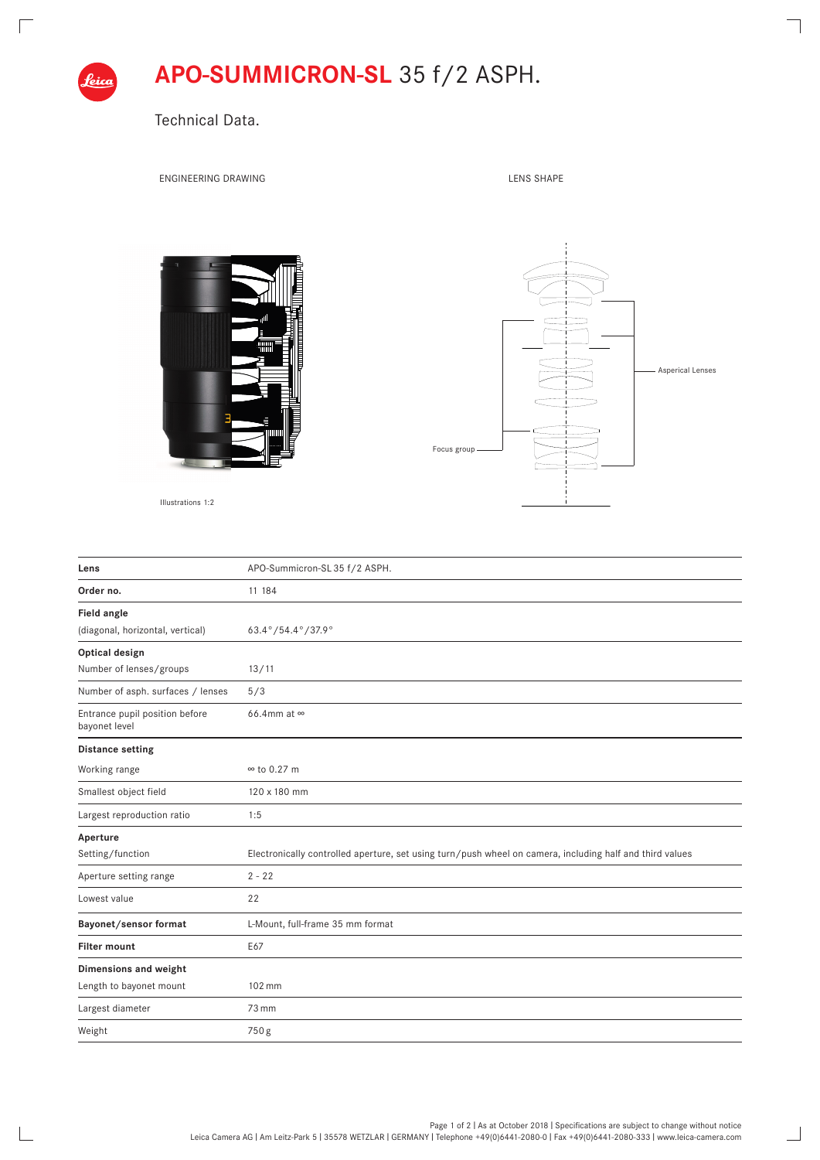

 $\Box$ 

 $\mathbb{R}$ 

**APO-SUMMICRON-SL** 35 f/2 ASPH.

Technical Data.

ENGINEERING DRAWING **LENS SHAPE** 

 $\overline{\phantom{a}}$ 

 $\overline{\phantom{a}}$ 



Illustrations 1:2



| Lens                                            | APO-Summicron-SL 35 f/2 ASPH.                                                                            |
|-------------------------------------------------|----------------------------------------------------------------------------------------------------------|
| Order no.                                       | 11 184                                                                                                   |
| Field angle                                     |                                                                                                          |
| (diagonal, horizontal, vertical)                | 63.4°/54.4°/37.9°                                                                                        |
| Optical design                                  |                                                                                                          |
| Number of lenses/groups                         | 13/11                                                                                                    |
| Number of asph. surfaces / lenses               | 5/3                                                                                                      |
| Entrance pupil position before<br>bayonet level | 66.4mm at $\infty$                                                                                       |
| <b>Distance setting</b>                         |                                                                                                          |
| Working range                                   | $\infty$ to 0.27 m                                                                                       |
| Smallest object field                           | 120 x 180 mm                                                                                             |
| Largest reproduction ratio                      | 1:5                                                                                                      |
| Aperture                                        |                                                                                                          |
| Setting/function                                | Electronically controlled aperture, set using turn/push wheel on camera, including half and third values |
| Aperture setting range                          | $2 - 22$                                                                                                 |
| Lowest value                                    | 22                                                                                                       |
| Bayonet/sensor format                           | L-Mount, full-frame 35 mm format                                                                         |
| <b>Filter mount</b>                             | E67                                                                                                      |
| Dimensions and weight                           |                                                                                                          |
| Length to bayonet mount                         | 102 mm                                                                                                   |
| Largest diameter                                | 73 mm                                                                                                    |
| Weight                                          | 750g                                                                                                     |
|                                                 |                                                                                                          |